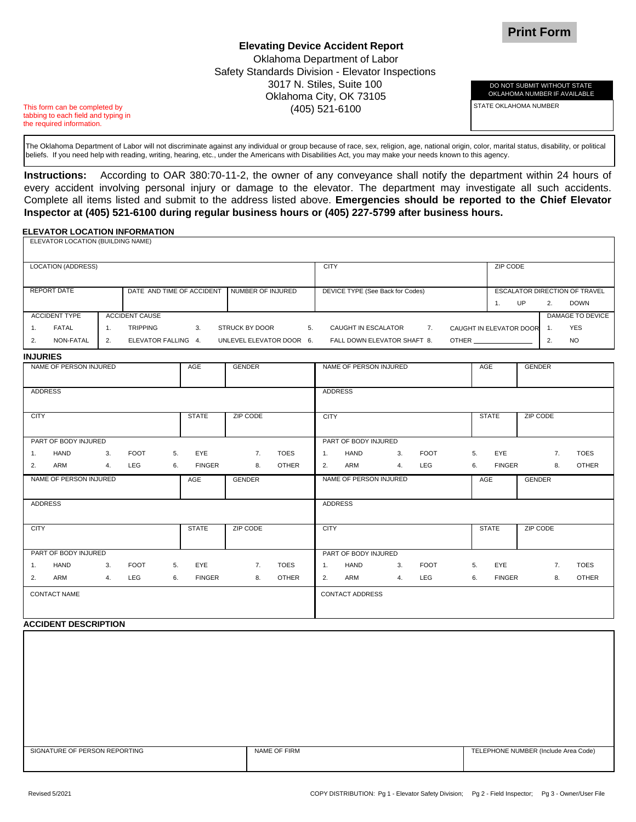DO NOT SUBMIT WITHOUT STATE OKLAHOMA NUMBER IF AVAILABLE

STATE OKLAHOMA NUMBER

## **Elevating Device Accident Report** Oklahoma Department of Labor Safety Standards Division - Elevator Inspections 3017 N. Stiles, Suite 100 Oklahoma City, OK 73105 (405) 521-6100

This form can be completed by tabbing to each field and typing in the required information.

The Oklahoma Department of Labor will not discriminate against any individual or group because of race, sex, religion, age, national origin, color, marital status, disability, or political beliefs. If you need help with reading, writing, hearing, etc., under the Americans with Disabilities Act, you may make your needs known to this agency.

**Instructions:** According to OAR 380:70-11-2, the owner of any conveyance shall notify the department within 24 hours of every accident involving personal injury or damage to the elevator. The department may investigate all such accidents. Complete all items listed and submit to the address listed above. **Emergencies should be reported to the Chief Elevator Inspector at (405) 521-6100 during regular business hours or (405) 227-5799 after business hours.**

## **ELEVATOR LOCATION INFORMATION**  ELEVATOR LOCATION (BUILDING NAME)

|                                                                   | LLLVATOR LOCATION (DOILDING NAME) |    |                       |    |                      |                          |              |                        |                                  |    |              |                 |                            |                                      |                 |                  |  |
|-------------------------------------------------------------------|-----------------------------------|----|-----------------------|----|----------------------|--------------------------|--------------|------------------------|----------------------------------|----|--------------|-----------------|----------------------------|--------------------------------------|-----------------|------------------|--|
|                                                                   | <b>LOCATION (ADDRESS)</b>         |    |                       |    |                      |                          | <b>CITY</b>  |                        |                                  |    |              |                 | ZIP CODE                   |                                      |                 |                  |  |
| <b>REPORT DATE</b><br>DATE AND TIME OF ACCIDENT NUMBER OF INJURED |                                   |    |                       |    |                      |                          |              |                        | DEVICE TYPE (See Back for Codes) |    |              |                 |                            | <b>ESCALATOR DIRECTION OF TRAVEL</b> |                 |                  |  |
|                                                                   |                                   |    |                       |    |                      |                          |              |                        |                                  |    |              |                 | 1.                         | <b>UP</b>                            | 2.              | <b>DOWN</b>      |  |
|                                                                   | <b>ACCIDENT TYPE</b>              |    | <b>ACCIDENT CAUSE</b> |    |                      |                          |              |                        |                                  |    |              |                 |                            |                                      |                 | DAMAGE TO DEVICE |  |
| 1.                                                                | FATAL                             | 1. | <b>TRIPPING</b>       |    | 3.                   | <b>STRUCK BY DOOR</b>    | 5.           |                        | CAUGHT IN ESCALATOR              |    | 7.           |                 | CAUGHT IN ELEVATOR DOOR 1. |                                      |                 | <b>YES</b>       |  |
| 2.                                                                | NON-FATAL                         | 2. | ELEVATOR FALLING 4.   |    |                      | UNLEVEL ELEVATOR DOOR 6. |              |                        | FALL DOWN ELEVATOR SHAFT 8.      |    |              |                 | OTHER                      |                                      | 2.              | <b>NO</b>        |  |
| <b>INJURIES</b>                                                   |                                   |    |                       |    |                      |                          |              |                        |                                  |    |              |                 |                            |                                      |                 |                  |  |
|                                                                   | NAME OF PERSON INJURED            |    |                       |    | <b>GENDER</b><br>AGE |                          |              | NAME OF PERSON INJURED |                                  |    |              |                 | AGE                        | <b>GENDER</b>                        |                 |                  |  |
|                                                                   |                                   |    |                       |    |                      |                          |              |                        |                                  |    |              |                 |                            |                                      |                 |                  |  |
| <b>ADDRESS</b>                                                    |                                   |    |                       |    |                      |                          |              |                        | <b>ADDRESS</b>                   |    |              |                 |                            |                                      |                 |                  |  |
| <b>CITY</b>                                                       | <b>STATE</b>                      |    |                       |    | ZIP CODE             |                          | <b>CITY</b>  |                        |                                  |    | <b>STATE</b> | <b>ZIP CODE</b> |                            |                                      |                 |                  |  |
|                                                                   | PART OF BODY INJURED              |    |                       |    |                      |                          |              |                        | PART OF BODY INJURED             |    |              |                 |                            |                                      |                 |                  |  |
| 1.                                                                | HAND                              | 3. | <b>FOOT</b>           | 5. | EYE                  | 7.                       | <b>TOES</b>  | 1.                     | HAND                             | 3. | <b>FOOT</b>  |                 | EYE<br>5.                  |                                      | 7.              | <b>TOES</b>      |  |
| 2.                                                                | ARM                               | 4. | LEG                   | 6. | <b>FINGER</b>        | 8.                       | <b>OTHER</b> | 2.                     | ARM                              | 4. | LEG          |                 | 6.<br><b>FINGER</b>        |                                      | 8.              | <b>OTHER</b>     |  |
|                                                                   | NAME OF PERSON INJURED            |    |                       |    | AGE                  | <b>GENDER</b>            |              |                        | NAME OF PERSON INJURED           |    |              |                 | AGE                        |                                      | <b>GENDER</b>   |                  |  |
| <b>ADDRESS</b>                                                    |                                   |    |                       |    |                      |                          |              |                        | <b>ADDRESS</b>                   |    |              |                 |                            |                                      |                 |                  |  |
| <b>CITY</b>                                                       |                                   |    |                       |    | <b>STATE</b>         | <b>ZIP CODE</b>          |              | <b>CITY</b>            |                                  |    |              |                 | <b>STATE</b>               |                                      | <b>ZIP CODE</b> |                  |  |
| PART OF BODY INJURED                                              |                                   |    |                       |    |                      |                          |              |                        | PART OF BODY INJURED             |    |              |                 |                            |                                      |                 |                  |  |
| 1.                                                                | <b>HAND</b>                       | 3. | <b>FOOT</b>           | 5. | EYE                  | 7.                       | <b>TOES</b>  | 1.                     | HAND                             | 3. | <b>FOOT</b>  |                 | EYE<br>5.                  |                                      | 7.              | <b>TOES</b>      |  |
| 2.                                                                | ARM                               | 4. | LEG                   | 6. | <b>FINGER</b>        | 8.                       | <b>OTHER</b> | 2.                     | ARM                              | 4. | LEG          |                 | 6.<br><b>FINGER</b>        |                                      | 8.              | <b>OTHER</b>     |  |
|                                                                   | CONTACT NAME                      |    |                       |    |                      |                          |              |                        | <b>CONTACT ADDRESS</b>           |    |              |                 |                            |                                      |                 |                  |  |
|                                                                   | <b>ACCIDENT DESCRIPTION</b>       |    |                       |    |                      |                          |              |                        |                                  |    |              |                 |                            |                                      |                 |                  |  |